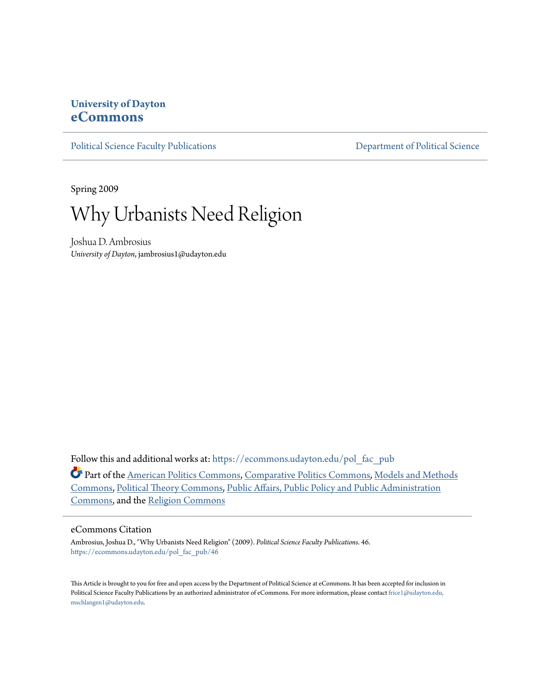## **University of Dayton [eCommons](https://ecommons.udayton.edu?utm_source=ecommons.udayton.edu%2Fpol_fac_pub%2F46&utm_medium=PDF&utm_campaign=PDFCoverPages)**

[Political Science Faculty Publications](https://ecommons.udayton.edu/pol_fac_pub?utm_source=ecommons.udayton.edu%2Fpol_fac_pub%2F46&utm_medium=PDF&utm_campaign=PDFCoverPages) [Department of Political Science](https://ecommons.udayton.edu/pol?utm_source=ecommons.udayton.edu%2Fpol_fac_pub%2F46&utm_medium=PDF&utm_campaign=PDFCoverPages)

Spring 2009



Joshua D. Ambrosius *University of Dayton*, jambrosius1@udayton.edu

Follow this and additional works at: [https://ecommons.udayton.edu/pol\\_fac\\_pub](https://ecommons.udayton.edu/pol_fac_pub?utm_source=ecommons.udayton.edu%2Fpol_fac_pub%2F46&utm_medium=PDF&utm_campaign=PDFCoverPages)

Part of the [American Politics Commons](http://network.bepress.com/hgg/discipline/387?utm_source=ecommons.udayton.edu%2Fpol_fac_pub%2F46&utm_medium=PDF&utm_campaign=PDFCoverPages), [Comparative Politics Commons,](http://network.bepress.com/hgg/discipline/388?utm_source=ecommons.udayton.edu%2Fpol_fac_pub%2F46&utm_medium=PDF&utm_campaign=PDFCoverPages) [Models and Methods](http://network.bepress.com/hgg/discipline/390?utm_source=ecommons.udayton.edu%2Fpol_fac_pub%2F46&utm_medium=PDF&utm_campaign=PDFCoverPages) [Commons,](http://network.bepress.com/hgg/discipline/390?utm_source=ecommons.udayton.edu%2Fpol_fac_pub%2F46&utm_medium=PDF&utm_campaign=PDFCoverPages) [Political Theory Commons](http://network.bepress.com/hgg/discipline/391?utm_source=ecommons.udayton.edu%2Fpol_fac_pub%2F46&utm_medium=PDF&utm_campaign=PDFCoverPages), [Public Affairs, Public Policy and Public Administration](http://network.bepress.com/hgg/discipline/393?utm_source=ecommons.udayton.edu%2Fpol_fac_pub%2F46&utm_medium=PDF&utm_campaign=PDFCoverPages) [Commons,](http://network.bepress.com/hgg/discipline/393?utm_source=ecommons.udayton.edu%2Fpol_fac_pub%2F46&utm_medium=PDF&utm_campaign=PDFCoverPages) and the [Religion Commons](http://network.bepress.com/hgg/discipline/538?utm_source=ecommons.udayton.edu%2Fpol_fac_pub%2F46&utm_medium=PDF&utm_campaign=PDFCoverPages)

#### eCommons Citation

Ambrosius, Joshua D., "Why Urbanists Need Religion" (2009). *Political Science Faculty Publications*. 46. [https://ecommons.udayton.edu/pol\\_fac\\_pub/46](https://ecommons.udayton.edu/pol_fac_pub/46?utm_source=ecommons.udayton.edu%2Fpol_fac_pub%2F46&utm_medium=PDF&utm_campaign=PDFCoverPages)

This Article is brought to you for free and open access by the Department of Political Science at eCommons. It has been accepted for inclusion in Political Science Faculty Publications by an authorized administrator of eCommons. For more information, please contact [frice1@udayton.edu,](mailto:frice1@udayton.edu,%20mschlangen1@udayton.edu) [mschlangen1@udayton.edu.](mailto:frice1@udayton.edu,%20mschlangen1@udayton.edu)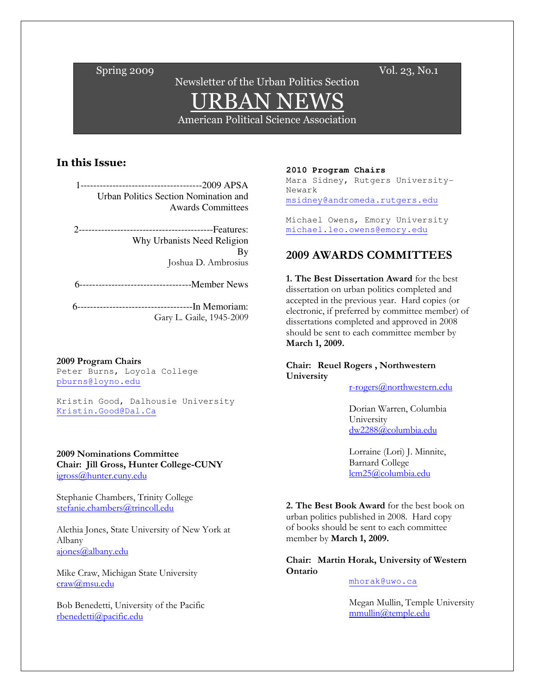$\text{Spring } 2009$   $\text{Vol. } 23, \text{No.1}$ 

# Newsletter of the Urban Politics Section URBAN NEWS

American Political Science Association

## In this Issue:

1--------------------------------------2009 APSA Urban Politics Section Nomination and Awards Committees

------------------------------Features: Why Urbanists Need Religion By Joshua D. Ambrosius

6-----------------------------------Member News

6------------------------------------In Memoriam: Gary L. Gaile, 1945-2009

#### 2009 Program Chairs

Peter Burns, Loyola College pburns@loyno.edu

Kristin Good, Dalhousie University Kristin.Good@Dal.Ca

## 2009 Nominations Committee

Chair: Jill Gross, Hunter College-CUNY igross@hunter.cuny.edu

Stephanie Chambers, Trinity College stefanie.chambers@trincoll.edu

Alethia Jones, State University of New York at Albany ajones@albany.edu

Mike Craw, Michigan State University craw@msu.edu

Bob Benedetti, University of the Pacific rbenedetti@pacific.edu

**2010 Program Chairs** 

Mara Sidney, Rutgers University-Newark msidney@andromeda.rutgers.edu

Michael Owens, Emory University michael.leo.owens@emory.edu

## 2009 AWARDS COMMITTEES

1. The Best Dissertation Award for the best dissertation on urban politics completed and accepted in the previous year. Hard copies (or electronic, if preferred by committee member) of dissertations completed and approved in 2008 should be sent to each committee member by March 1, 2009.

Chair: Reuel Rogers , Northwestern University

r-rogers@northwestern.edu

Dorian Warren, Columbia University dw2288@columbia.edu

 Lorraine (Lori) J. Minnite, Barnard College lcm25@columbia.edu

2. The Best Book Award for the best book on urban politics published in 2008. Hard copy of books should be sent to each committee member by March 1, 2009.

Chair: Martin Horak, University of Western Ontario

## mhorak@uwo.ca

 Megan Mullin, Temple University mmullin@temple.edu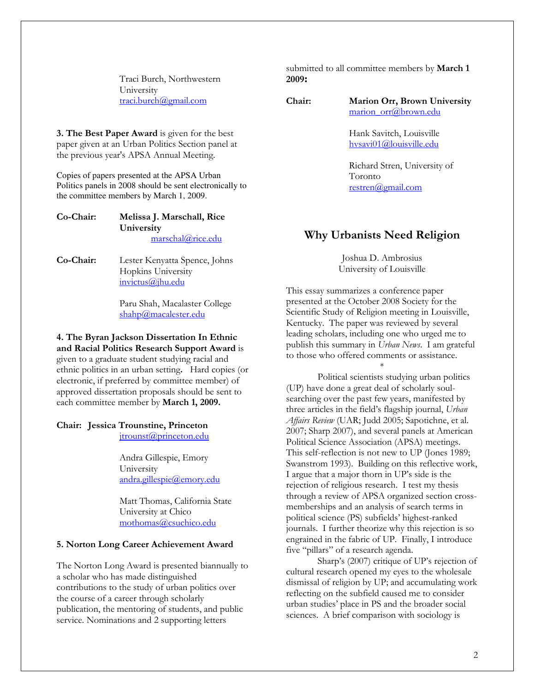Traci Burch, Northwestern University traci.burch@gmail.com

3. The Best Paper Award is given for the best paper given at an Urban Politics Section panel at the previous year's APSA Annual Meeting.

Copies of papers presented at the APSA Urban Politics panels in 2008 should be sent electronically to the committee members by March 1, 2009.

### Co-Chair: Melissa J. Marschall, Rice **University** marschal@rice.edu

Co-Chair: Lester Kenyatta Spence, Johns Hopkins University invictus@jhu.edu

> Paru Shah, Macalaster College shahp@macalester.edu

4. The Byran Jackson Dissertation In Ethnic and Racial Politics Research Support Award is given to a graduate student studying racial and ethnic politics in an urban setting. Hard copies (or electronic, if preferred by committee member) of approved dissertation proposals should be sent to each committee member by March 1, 2009.

## Chair: Jessica Trounstine, Princeton

jtrounst@princeton.edu

Andra Gillespie, Emory University andra.gillespie@emory.edu

Matt Thomas, California State University at Chico mothomas@csuchico.edu

### 5. Norton Long Career Achievement Award

The Norton Long Award is presented biannually to a scholar who has made distinguished contributions to the study of urban politics over the course of a career through scholarly publication, the mentoring of students, and public service. Nominations and 2 supporting letters

submitted to all committee members by **March 1** 2009:

Chair: Marion Orr, Brown University marion\_orr@brown.edu

> Hank Savitch, Louisville hvsavi01@louisville.edu

 Richard Stren, University of Toronto restren@gmail.com

## Why Urbanists Need Religion

Joshua D. Ambrosius University of Louisville

This essay summarizes a conference paper presented at the October 2008 Society for the Scientific Study of Religion meeting in Louisville, Kentucky. The paper was reviewed by several leading scholars, including one who urged me to publish this summary in Urban News. I am grateful to those who offered comments or assistance.

\* Political scientists studying urban politics (UP) have done a great deal of scholarly soulsearching over the past few years, manifested by three articles in the field's flagship journal, Urban Affairs Review (UAR; Judd 2005; Sapotichne, et al. 2007; Sharp 2007), and several panels at American Political Science Association (APSA) meetings. This self-reflection is not new to UP (Jones 1989; Swanstrom 1993). Building on this reflective work, I argue that a major thorn in UP's side is the rejection of religious research. I test my thesis through a review of APSA organized section crossmemberships and an analysis of search terms in political science (PS) subfields' highest-ranked journals. I further theorize why this rejection is so engrained in the fabric of UP. Finally, I introduce five "pillars" of a research agenda.

Sharp's (2007) critique of UP's rejection of cultural research opened my eyes to the wholesale dismissal of religion by UP; and accumulating work reflecting on the subfield caused me to consider urban studies' place in PS and the broader social sciences. A brief comparison with sociology is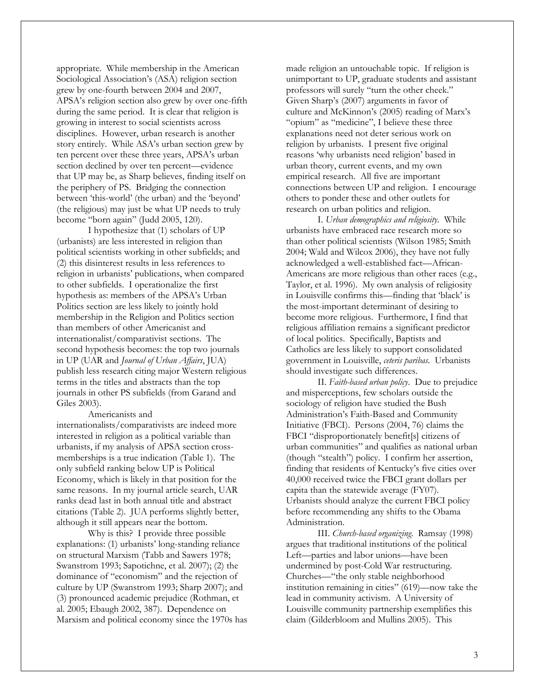appropriate. While membership in the American Sociological Association's (ASA) religion section grew by one-fourth between 2004 and 2007, APSA's religion section also grew by over one-fifth during the same period. It is clear that religion is growing in interest to social scientists across disciplines. However, urban research is another story entirely. While ASA's urban section grew by ten percent over these three years, APSA's urban section declined by over ten percent—evidence that UP may be, as Sharp believes, finding itself on the periphery of PS. Bridging the connection between 'this-world' (the urban) and the 'beyond' (the religious) may just be what UP needs to truly become "born again" (Judd 2005, 120).

I hypothesize that (1) scholars of UP (urbanists) are less interested in religion than political scientists working in other subfields; and (2) this disinterest results in less references to religion in urbanists' publications, when compared to other subfields. I operationalize the first hypothesis as: members of the APSA's Urban Politics section are less likely to jointly hold membership in the Religion and Politics section than members of other Americanist and internationalist/comparativist sections. The second hypothesis becomes: the top two journals in UP (UAR and Journal of Urban Affairs, JUA) publish less research citing major Western religious terms in the titles and abstracts than the top journals in other PS subfields (from Garand and Giles 2003).

#### Americanists and

internationalists/comparativists are indeed more interested in religion as a political variable than urbanists, if my analysis of APSA section crossmemberships is a true indication (Table 1). The only subfield ranking below UP is Political Economy, which is likely in that position for the same reasons. In my journal article search, UAR ranks dead last in both annual title and abstract citations (Table 2). JUA performs slightly better, although it still appears near the bottom.

Why is this? I provide three possible explanations: (1) urbanists' long-standing reliance on structural Marxism (Tabb and Sawers 1978; Swanstrom 1993; Sapotichne, et al. 2007); (2) the dominance of "economism" and the rejection of culture by UP (Swanstrom 1993; Sharp 2007); and (3) pronounced academic prejudice (Rothman, et al. 2005; Ebaugh 2002, 387). Dependence on Marxism and political economy since the 1970s has made religion an untouchable topic. If religion is unimportant to UP, graduate students and assistant professors will surely "turn the other cheek." Given Sharp's (2007) arguments in favor of culture and McKinnon's (2005) reading of Marx's "opium" as "medicine", I believe these three explanations need not deter serious work on religion by urbanists. I present five original reasons 'why urbanists need religion' based in urban theory, current events, and my own empirical research. All five are important connections between UP and religion. I encourage others to ponder these and other outlets for research on urban politics and religion.

I. Urban demographics and religiosity. While urbanists have embraced race research more so than other political scientists (Wilson 1985; Smith 2004; Wald and Wilcox 2006), they have not fully acknowledged a well-established fact—African-Americans are more religious than other races (e.g., Taylor, et al. 1996). My own analysis of religiosity in Louisville confirms this—finding that 'black' is the most-important determinant of desiring to become more religious. Furthermore, I find that religious affiliation remains a significant predictor of local politics. Specifically, Baptists and Catholics are less likely to support consolidated government in Louisville, ceteris paribas. Urbanists should investigate such differences.

II. Faith-based urban policy. Due to prejudice and misperceptions, few scholars outside the sociology of religion have studied the Bush Administration's Faith-Based and Community Initiative (FBCI). Persons (2004, 76) claims the FBCI "disproportionately benefit[s] citizens of urban communities" and qualifies as national urban (though "stealth") policy. I confirm her assertion, finding that residents of Kentucky's five cities over 40,000 received twice the FBCI grant dollars per capita than the statewide average (FY07). Urbanists should analyze the current FBCI policy before recommending any shifts to the Obama Administration.

III. Church-based organizing. Ramsay (1998) argues that traditional institutions of the political Left—parties and labor unions—have been undermined by post-Cold War restructuring. Churches—"the only stable neighborhood institution remaining in cities" (619)—now take the lead in community activism. A University of Louisville community partnership exemplifies this claim (Gilderbloom and Mullins 2005). This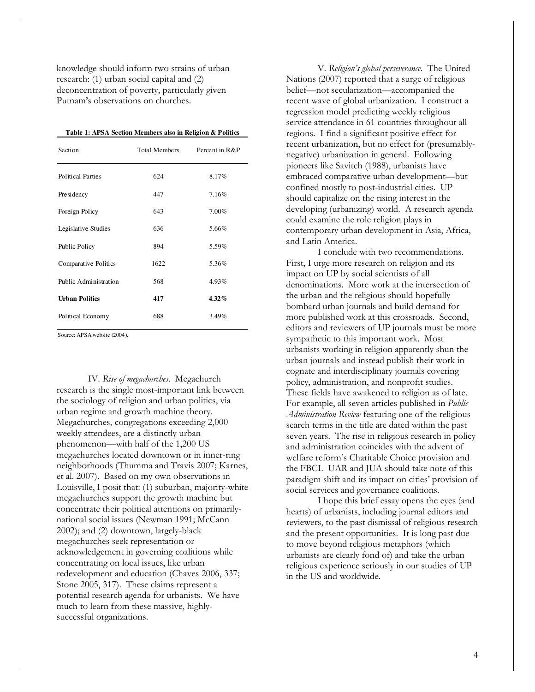knowledge should inform two strains of urban research: (1) urban social capital and (2) deconcentration of poverty, particularly given Putnam's observations on churches.

| Section               | Total Members | Percent in R&P |
|-----------------------|---------------|----------------|
| Political Parties     | 624           | 8.17%          |
| Presidency            | 447           | 7.16%          |
| Foreign Policy        | 643           | 7.00%          |
| Legislative Studies   | 636           | 5.66%          |
| Public Policy         | 894           | 5.59%          |
| Comparative Politics  | 1622          | 5.36%          |
| Public Administration | 568           | 4.93%          |
| <b>Urban Politics</b> | 417           | $4.32\%$       |
| Political Economy     | 688           | 3.49%          |

Source: APSA website (2004).

IV. Rise of megachurches. Megachurch research is the single most-important link between the sociology of religion and urban politics, via urban regime and growth machine theory. Megachurches, congregations exceeding 2,000 weekly attendees, are a distinctly urban phenomenon—with half of the 1,200 US megachurches located downtown or in inner-ring neighborhoods (Thumma and Travis 2007; Karnes, et al. 2007). Based on my own observations in Louisville, I posit that: (1) suburban, majority-white megachurches support the growth machine but concentrate their political attentions on primarilynational social issues (Newman 1991; McCann 2002); and (2) downtown, largely-black megachurches seek representation or acknowledgement in governing coalitions while concentrating on local issues, like urban redevelopment and education (Chaves 2006, 337; Stone 2005, 317). These claims represent a potential research agenda for urbanists. We have much to learn from these massive, highlysuccessful organizations.

V. Religion's global perseverance. The United Nations (2007) reported that a surge of religious belief—not secularization—accompanied the recent wave of global urbanization. I construct a regression model predicting weekly religious service attendance in 61 countries throughout all regions. I find a significant positive effect for recent urbanization, but no effect for (presumablynegative) urbanization in general. Following pioneers like Savitch (1988), urbanists have embraced comparative urban development—but confined mostly to post-industrial cities. UP should capitalize on the rising interest in the developing (urbanizing) world. A research agenda could examine the role religion plays in contemporary urban development in Asia, Africa, and Latin America.

I conclude with two recommendations. First, I urge more research on religion and its impact on UP by social scientists of all denominations. More work at the intersection of the urban and the religious should hopefully bombard urban journals and build demand for more published work at this crossroads. Second, editors and reviewers of UP journals must be more sympathetic to this important work. Most urbanists working in religion apparently shun the urban journals and instead publish their work in cognate and interdisciplinary journals covering policy, administration, and nonprofit studies. These fields have awakened to religion as of late. For example, all seven articles published in Public Administration Review featuring one of the religious search terms in the title are dated within the past seven years. The rise in religious research in policy and administration coincides with the advent of welfare reform's Charitable Choice provision and the FBCI. UAR and JUA should take note of this paradigm shift and its impact on cities' provision of social services and governance coalitions.

I hope this brief essay opens the eyes (and hearts) of urbanists, including journal editors and reviewers, to the past dismissal of religious research and the present opportunities. It is long past due to move beyond religious metaphors (which urbanists are clearly fond of) and take the urban religious experience seriously in our studies of UP in the US and worldwide.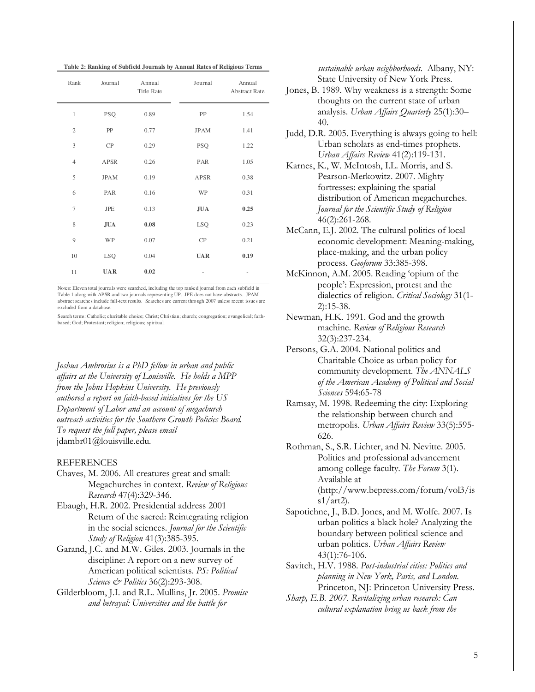**Table 2: Ranking of Subfield Journals by Annual Rates of Religious Terms**

| Rank           | Journal     | Annual<br><b>Title Rate</b> | Journal     | Annual<br><b>Abstract Rate</b> |
|----------------|-------------|-----------------------------|-------------|--------------------------------|
| 1              | <b>PSQ</b>  | 0.89                        | PP          | 1.54                           |
| $\overline{2}$ | PP          | 0.77                        | <b>JPAM</b> | 1.41                           |
| 3              | CP          | 0.29                        | <b>PSQ</b>  | 1.22                           |
| $\overline{4}$ | <b>APSR</b> | 0.26                        | PAR         | 1.05                           |
| 5              | <b>JPAM</b> | 0.19                        | APSR        | 0.38                           |
| 6              | PAR         | 0.16                        | WP          | 0.31                           |
| $\overline{7}$ | <b>JPE</b>  | 0.13                        | <b>JUA</b>  | 0.25                           |
| 8              | <b>JUA</b>  | 0.08                        | <b>LSQ</b>  | 0.23                           |
| 9              | WP          | 0.07                        | CP          | 0.21                           |
| 10             | LSQ         | 0.04                        | <b>UAR</b>  | 0.19                           |
| 11             | <b>UAR</b>  | 0.02                        |             |                                |

Notes: Eleven total journals were searched, including the top ranked journal from each subfield in Table 1 along with APSR and two journals representing UP. JPE does not have abstracts. JPAM abstract searches include full-text results. Searches are current through 2007 unless recent issues are excluded from a database.

Search terms: Catholic; charitable choice; Christ; Christian; church; congregation; evangelical; faithbased; God; Protestant; religion; religious; spiritual.

Joshua Ambrosius is a PhD fellow in urban and public affairs at the University of Louisville. He holds a MPP from the Johns Hopkins University. He previously authored a report on faith-based initiatives for the US Department of Labor and an account of megachurch outreach activities for the Southern Growth Policies Board. To request the full paper, please email jdambr01@louisville.edu.

#### REFERENCES

- Chaves, M. 2006. All creatures great and small: Megachurches in context. Review of Religious Research 47(4):329-346.
- Ebaugh, H.R. 2002. Presidential address 2001 Return of the sacred: Reintegrating religion in the social sciences. Journal for the Scientific Study of Religion 41(3):385-395.
- Garand, J.C. and M.W. Giles. 2003. Journals in the discipline: A report on a new survey of American political scientists. PS: Political Science & Politics 36(2):293-308.
- Gilderbloom, J.I. and R.L. Mullins, Jr. 2005. Promise and betrayal: Universities and the battle for

sustainable urban neighborhoods. Albany, NY: State University of New York Press.

- Jones, B. 1989. Why weakness is a strength: Some thoughts on the current state of urban analysis. Urban Affairs Quarterly 25(1):30– 40.
- Judd, D.R. 2005. Everything is always going to hell: Urban scholars as end-times prophets. Urban Affairs Review 41(2):119-131.
- Karnes, K., W. McIntosh, I.L. Morris, and S. Pearson-Merkowitz. 2007. Mighty fortresses: explaining the spatial distribution of American megachurches. Journal for the Scientific Study of Religion 46(2):261-268.
- McCann, E.J. 2002. The cultural politics of local economic development: Meaning-making, place-making, and the urban policy process. Geoforum 33:385-398.
- McKinnon, A.M. 2005. Reading 'opium of the people': Expression, protest and the dialectics of religion. Critical Sociology 31(1- 2):15-38.
- Newman, H.K. 1991. God and the growth machine. Review of Religious Research 32(3):237-234.
- Persons, G.A. 2004. National politics and Charitable Choice as urban policy for community development. The ANNALS of the American Academy of Political and Social Sciences 594:65-78
- Ramsay, M. 1998. Redeeming the city: Exploring the relationship between church and metropolis. Urban Affairs Review 33(5):595-626.
- Rothman, S., S.R. Lichter, and N. Nevitte. 2005. Politics and professional advancement among college faculty. The Forum 3(1). Available at (http://www.bepress.com/forum/vol3/is  $s1/art2$ ).
- Sapotichne, J., B.D. Jones, and M. Wolfe. 2007. Is urban politics a black hole? Analyzing the boundary between political science and urban politics. Urban Affairs Review 43(1):76-106.
- Savitch, H.V. 1988. Post-industrial cities: Politics and planning in New York, Paris, and London. Princeton, NJ: Princeton University Press.
- Sharp, E.B. 2007. Revitalizing urban research: Can cultural explanation bring us back from the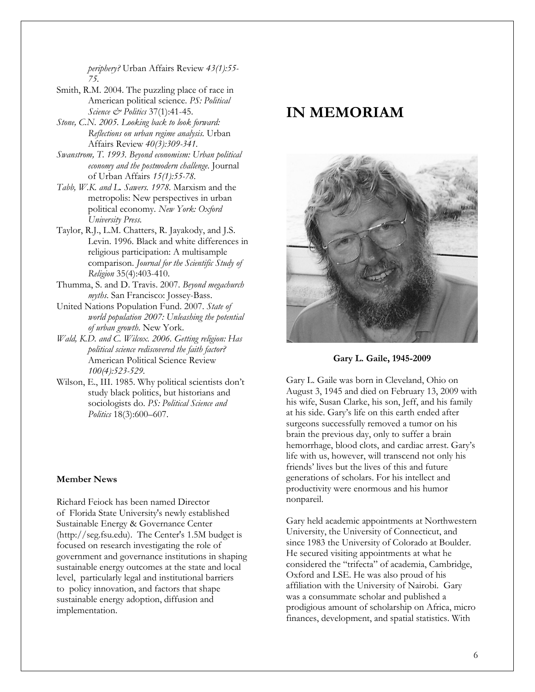periphery? Urban Affairs Review 43(1):55- 75.

Smith, R.M. 2004. The puzzling place of race in American political science. PS: Political Science  $\mathcal{Q}$  Politics 37(1):41-45.

- Stone, C.N. 2005. Looking back to look forward: Reflections on urban regime analysis. Urban Affairs Review 40(3):309-341.
- Swanstrom, T. 1993. Beyond economism: Urban political economy and the postmodern challenge. Journal of Urban Affairs 15(1):55-78.
- Tabb, W.K. and L. Sawers. 1978. Marxism and the metropolis: New perspectives in urban political economy. New York: Oxford University Press.
- Taylor, R.J., L.M. Chatters, R. Jayakody, and J.S. Levin. 1996. Black and white differences in religious participation: A multisample comparison. Journal for the Scientific Study of Religion 35(4):403-410.
- Thumma, S. and D. Travis. 2007. Beyond megachurch myths. San Francisco: Jossey-Bass.
- United Nations Population Fund. 2007. State of world population 2007: Unleashing the potential of urban growth. New York.
- Wald, K.D. and C. Wilcox. 2006. Getting religion: Has political science rediscovered the faith factor? American Political Science Review 100(4):523-529.
- Wilson, E., III. 1985. Why political scientists don't study black politics, but historians and sociologists do. PS: Political Science and Politics 18(3):600–607.

### Member News

Richard Feiock has been named Director of Florida State University's newly established Sustainable Energy & Governance Center (http://seg.fsu.edu). The Center's 1.5M budget is focused on research investigating the role of government and governance institutions in shaping sustainable energy outcomes at the state and local level, particularly legal and institutional barriers to policy innovation, and factors that shape sustainable energy adoption, diffusion and implementation.

# IN MEMORIAM



Gary L. Gaile, 1945-2009

Gary L. Gaile was born in Cleveland, Ohio on August 3, 1945 and died on February 13, 2009 with his wife, Susan Clarke, his son, Jeff, and his family at his side. Gary's life on this earth ended after surgeons successfully removed a tumor on his brain the previous day, only to suffer a brain hemorrhage, blood clots, and cardiac arrest. Gary's life with us, however, will transcend not only his friends' lives but the lives of this and future generations of scholars. For his intellect and productivity were enormous and his humor nonpareil.

Gary held academic appointments at Northwestern University, the University of Connecticut, and since 1983 the University of Colorado at Boulder. He secured visiting appointments at what he considered the "trifecta" of academia, Cambridge, Oxford and LSE. He was also proud of his affiliation with the University of Nairobi. Gary was a consummate scholar and published a prodigious amount of scholarship on Africa, micro finances, development, and spatial statistics. With